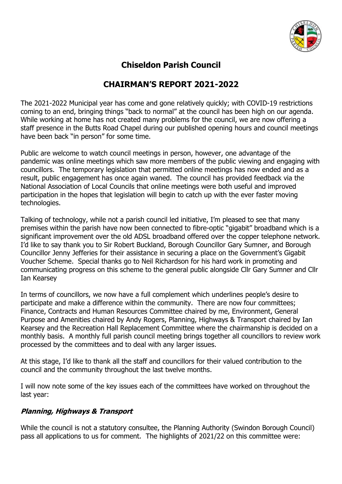

# **Chiseldon Parish Council**

# **CHAIRMAN'S REPORT 2021-2022**

The 2021-2022 Municipal year has come and gone relatively quickly; with COVID-19 restrictions coming to an end, bringing things "back to normal" at the council has been high on our agenda. While working at home has not created many problems for the council, we are now offering a staff presence in the Butts Road Chapel during our published opening hours and council meetings have been back "in person" for some time.

Public are welcome to watch council meetings in person, however, one advantage of the pandemic was online meetings which saw more members of the public viewing and engaging with councillors. The temporary legislation that permitted online meetings has now ended and as a result, public engagement has once again waned. The council has provided feedback via the National Association of Local Councils that online meetings were both useful and improved participation in the hopes that legislation will begin to catch up with the ever faster moving technologies.

Talking of technology, while not a parish council led initiative, I'm pleased to see that many premises within the parish have now been connected to fibre-optic "gigabit" broadband which is a significant improvement over the old ADSL broadband offered over the copper telephone network. I'd like to say thank you to Sir Robert Buckland, Borough Councillor Gary Sumner, and Borough Councillor Jenny Jefferies for their assistance in securing a place on the Government's Gigabit Voucher Scheme. Special thanks go to Neil Richardson for his hard work in promoting and communicating progress on this scheme to the general public alongside Cllr Gary Sumner and Cllr Ian Kearsey

In terms of councillors, we now have a full complement which underlines people's desire to participate and make a difference within the community. There are now four committees; Finance, Contracts and Human Resources Committee chaired by me, Environment, General Purpose and Amenities chaired by Andy Rogers, Planning, Highways & Transport chaired by Ian Kearsey and the Recreation Hall Replacement Committee where the chairmanship is decided on a monthly basis. A monthly full parish council meeting brings together all councillors to review work processed by the committees and to deal with any larger issues.

At this stage, I'd like to thank all the staff and councillors for their valued contribution to the council and the community throughout the last twelve months.

I will now note some of the key issues each of the committees have worked on throughout the last year:

## **Planning, Highways & Transport**

While the council is not a statutory consultee, the Planning Authority (Swindon Borough Council) pass all applications to us for comment. The highlights of 2021/22 on this committee were: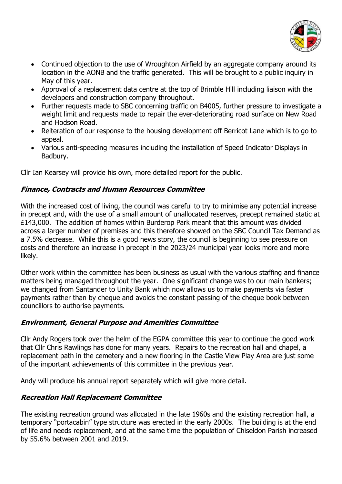

- Continued objection to the use of Wroughton Airfield by an aggregate company around its location in the AONB and the traffic generated. This will be brought to a public inquiry in May of this year.
- Approval of a replacement data centre at the top of Brimble Hill including liaison with the developers and construction company throughout.
- Further requests made to SBC concerning traffic on B4005, further pressure to investigate a weight limit and requests made to repair the ever-deteriorating road surface on New Road and Hodson Road.
- Reiteration of our response to the housing development off Berricot Lane which is to go to appeal.
- Various anti-speeding measures including the installation of Speed Indicator Displays in Badbury.

Cllr Ian Kearsey will provide his own, more detailed report for the public.

#### **Finance, Contracts and Human Resources Committee**

With the increased cost of living, the council was careful to try to minimise any potential increase in precept and, with the use of a small amount of unallocated reserves, precept remained static at £143,000. The addition of homes within Burderop Park meant that this amount was divided across a larger number of premises and this therefore showed on the SBC Council Tax Demand as a 7.5% decrease. While this is a good news story, the council is beginning to see pressure on costs and therefore an increase in precept in the 2023/24 municipal year looks more and more likely.

Other work within the committee has been business as usual with the various staffing and finance matters being managed throughout the year. One significant change was to our main bankers; we changed from Santander to Unity Bank which now allows us to make payments via faster payments rather than by cheque and avoids the constant passing of the cheque book between councillors to authorise payments.

## **Environment, General Purpose and Amenities Committee**

Cllr Andy Rogers took over the helm of the EGPA committee this year to continue the good work that Cllr Chris Rawlings has done for many years. Repairs to the recreation hall and chapel, a replacement path in the cemetery and a new flooring in the Castle View Play Area are just some of the important achievements of this committee in the previous year.

Andy will produce his annual report separately which will give more detail.

## **Recreation Hall Replacement Committee**

The existing recreation ground was allocated in the late 1960s and the existing recreation hall, a temporary "portacabin" type structure was erected in the early 2000s. The building is at the end of life and needs replacement, and at the same time the population of Chiseldon Parish increased by 55.6% between 2001 and 2019.